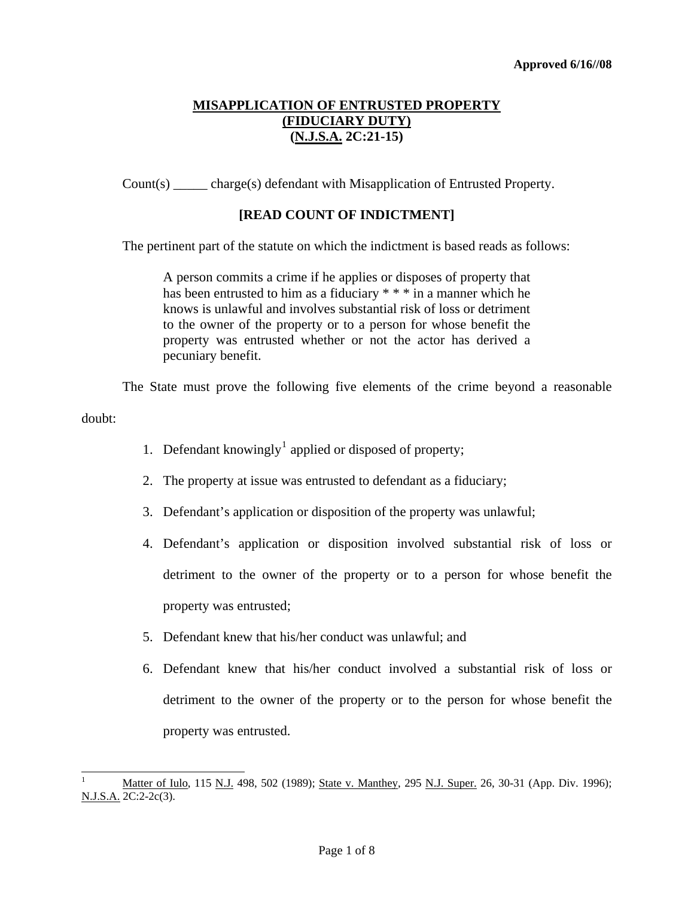Count(s) \_\_\_\_\_ charge(s) defendant with Misapplication of Entrusted Property.

# **[READ COUNT OF INDICTMENT]**

The pertinent part of the statute on which the indictment is based reads as follows:

A person commits a crime if he applies or disposes of property that has been entrusted to him as a fiduciary \* \* \* in a manner which he knows is unlawful and involves substantial risk of loss or detriment to the owner of the property or to a person for whose benefit the property was entrusted whether or not the actor has derived a pecuniary benefit.

The State must prove the following five elements of the crime beyond a reasonable

doubt:

- [1](#page-0-0). Defendant knowingly<sup>1</sup> applied or disposed of property;
- 2. The property at issue was entrusted to defendant as a fiduciary;
- 3. Defendant's application or disposition of the property was unlawful;
- 4. Defendant's application or disposition involved substantial risk of loss or detriment to the owner of the property or to a person for whose benefit the property was entrusted;
- 5. Defendant knew that his/her conduct was unlawful; and
- 6. Defendant knew that his/her conduct involved a substantial risk of loss or detriment to the owner of the property or to the person for whose benefit the property was entrusted.

<span id="page-0-1"></span><span id="page-0-0"></span><sup>1</sup> Matter of Iulo, 115 N.J. 498, 502 (1989); State v. Manthey, 295 N.J. Super. 26, 30-31 (App. Div. 1996); N.J.S.A. 2C:2-2c(3).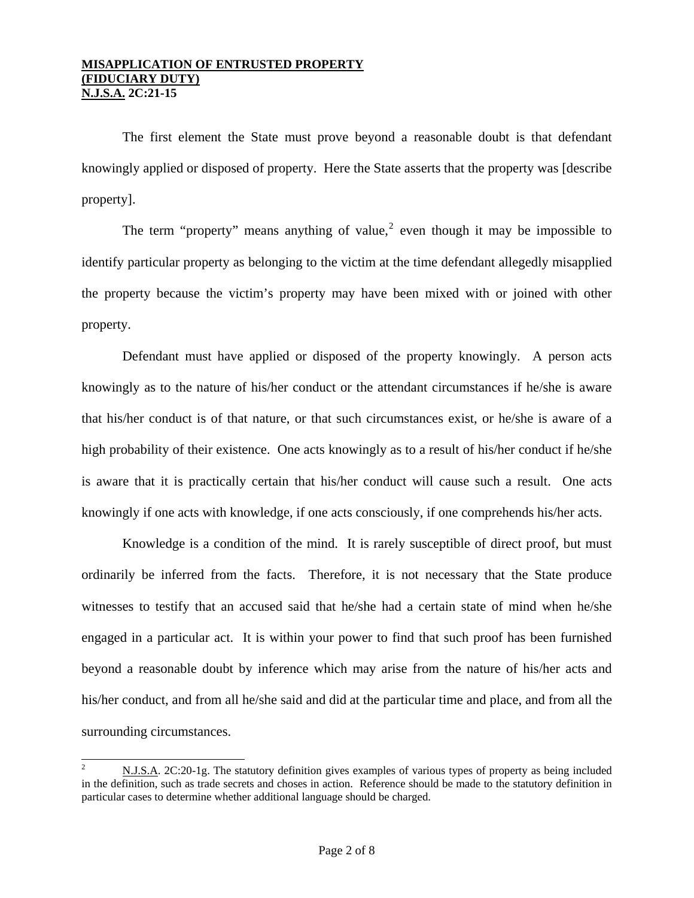The first element the State must prove beyond a reasonable doubt is that defendant knowingly applied or disposed of property. Here the State asserts that the property was [describe property].

The term "property" means anything of value,<sup>[2](#page-0-1)</sup> even though it may be impossible to identify particular property as belonging to the victim at the time defendant allegedly misapplied the property because the victim's property may have been mixed with or joined with other property.

 Defendant must have applied or disposed of the property knowingly. A person acts knowingly as to the nature of his/her conduct or the attendant circumstances if he/she is aware that his/her conduct is of that nature, or that such circumstances exist, or he/she is aware of a high probability of their existence. One acts knowingly as to a result of his/her conduct if he/she is aware that it is practically certain that his/her conduct will cause such a result. One acts knowingly if one acts with knowledge, if one acts consciously, if one comprehends his/her acts.

Knowledge is a condition of the mind. It is rarely susceptible of direct proof, but must ordinarily be inferred from the facts. Therefore, it is not necessary that the State produce witnesses to testify that an accused said that he/she had a certain state of mind when he/she engaged in a particular act. It is within your power to find that such proof has been furnished beyond a reasonable doubt by inference which may arise from the nature of his/her acts and his/her conduct, and from all he/she said and did at the particular time and place, and from all the surrounding circumstances.

<span id="page-1-0"></span><sup>2</sup> N.J.S.A. 2C:20-1g. The statutory definition gives examples of various types of property as being included in the definition, such as trade secrets and choses in action. Reference should be made to the statutory definition in particular cases to determine whether additional language should be charged.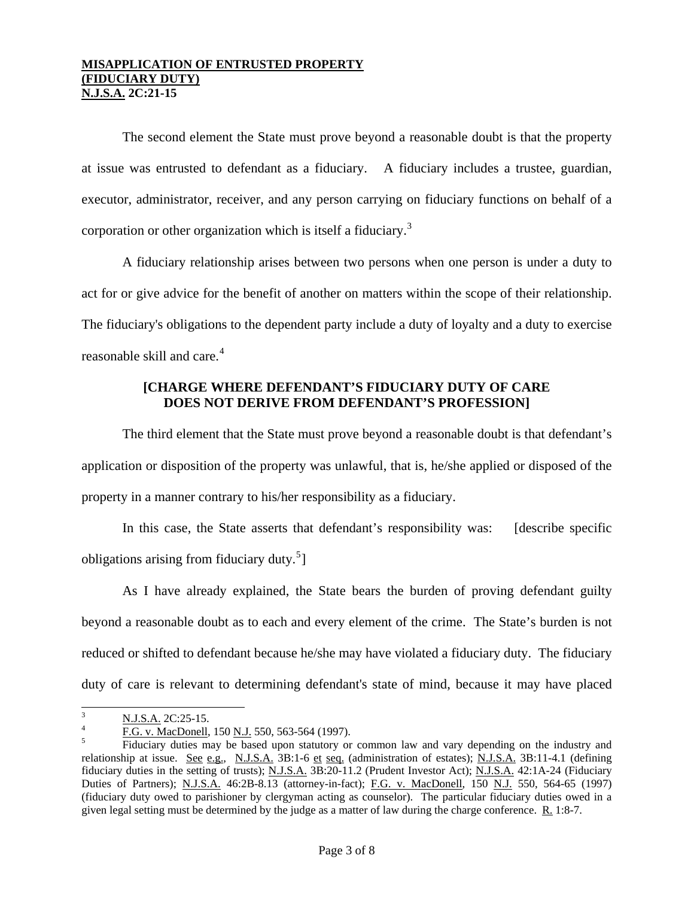The second element the State must prove beyond a reasonable doubt is that the property at issue was entrusted to defendant as a fiduciary. A fiduciary includes a trustee, guardian, executor, administrator, receiver, and any person carrying on fiduciary functions on behalf of a corporation or other organization which is itself a fiduciary.<sup>[3](#page-1-0)</sup>

A fiduciary relationship arises between two persons when one person is under a duty to act for or give advice for the benefit of another on matters within the scope of their relationship. The fiduciary's obligations to the dependent party include a duty of loyalty and a duty to exercise reasonable skill and care.<sup>[4](#page-2-0)</sup>

# **[CHARGE WHERE DEFENDANT'S FIDUCIARY DUTY OF CARE DOES NOT DERIVE FROM DEFENDANT'S PROFESSION]**

The third element that the State must prove beyond a reasonable doubt is that defendant's application or disposition of the property was unlawful, that is, he/she applied or disposed of the property in a manner contrary to his/her responsibility as a fiduciary.

In this case, the State asserts that defendant's responsibility was: [describe specific obligations arising from fiduciary duty. $5$ ]

As I have already explained, the State bears the burden of proving defendant guilty beyond a reasonable doubt as to each and every element of the crime. The State's burden is not reduced or shifted to defendant because he/she may have violated a fiduciary duty. The fiduciary duty of care is relevant to determining defendant's state of mind, because it may have placed

 3  $\frac{N.J.S.A.}{P.S.A.}$  2C:25-15.

<span id="page-2-0"></span>F.G. v. MacDonell, 150 N.J. 550, 563-564 (1997).

<span id="page-2-2"></span><span id="page-2-1"></span>Fiduciary duties may be based upon statutory or common law and vary depending on the industry and relationship at issue. See e.g., N.J.S.A. 3B:1-6 et seq. (administration of estates); N.J.S.A. 3B:11-4.1 (defining fiduciary duties in the setting of trusts); N.J.S.A. 3B:20-11.2 (Prudent Investor Act); N.J.S.A. 42:1A-24 (Fiduciary Duties of Partners); N.J.S.A. 46:2B-8.13 (attorney-in-fact); F.G. v. MacDonell, 150 N.J. 550, 564-65 (1997) (fiduciary duty owed to parishioner by clergyman acting as counselor). The particular fiduciary duties owed in a given legal setting must be determined by the judge as a matter of law during the charge conference. R. 1:8-7.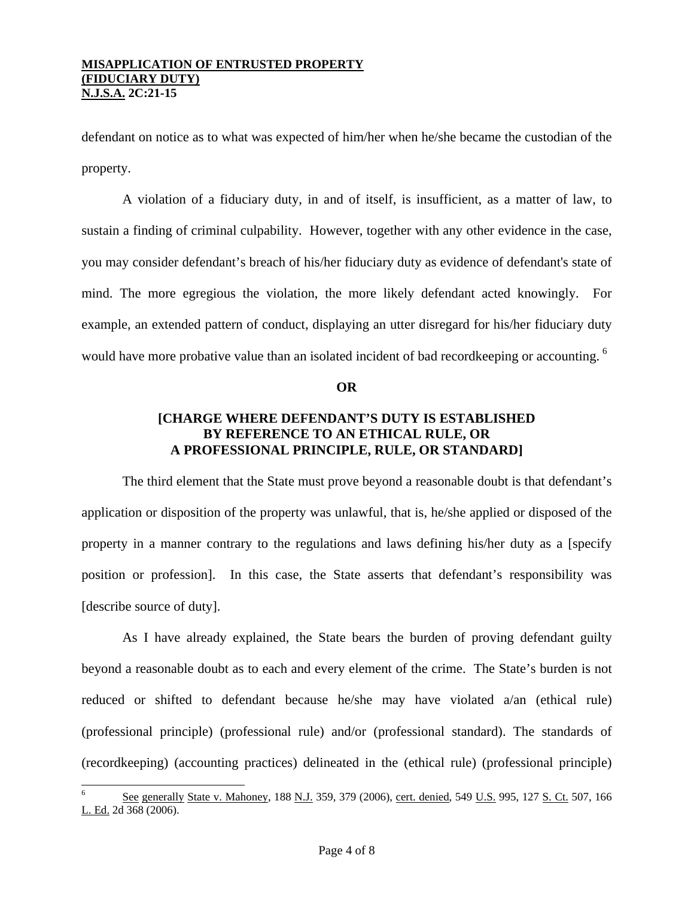defendant on notice as to what was expected of him/her when he/she became the custodian of the property.

A violation of a fiduciary duty, in and of itself, is insufficient, as a matter of law, to sustain a finding of criminal culpability. However, together with any other evidence in the case, you may consider defendant's breach of his/her fiduciary duty as evidence of defendant's state of mind. The more egregious the violation, the more likely defendant acted knowingly. For example, an extended pattern of conduct, displaying an utter disregard for his/her fiduciary duty would have more probative value than an isolated incident of bad recordkeeping or accounting. <sup>[6](#page-2-2)</sup>

**OR** 

# **[CHARGE WHERE DEFENDANT'S DUTY IS ESTABLISHED BY REFERENCE TO AN ETHICAL RULE, OR A PROFESSIONAL PRINCIPLE, RULE, OR STANDARD]**

The third element that the State must prove beyond a reasonable doubt is that defendant's application or disposition of the property was unlawful, that is, he/she applied or disposed of the property in a manner contrary to the regulations and laws defining his/her duty as a [specify position or profession]. In this case, the State asserts that defendant's responsibility was [describe source of duty].

As I have already explained, the State bears the burden of proving defendant guilty beyond a reasonable doubt as to each and every element of the crime. The State's burden is not reduced or shifted to defendant because he/she may have violated a/an (ethical rule) (professional principle) (professional rule) and/or (professional standard). The standards of (recordkeeping) (accounting practices) delineated in the (ethical rule) (professional principle)

<span id="page-3-0"></span><sup>6</sup> See generally State v. Mahoney, 188 N.J. 359, 379 (2006), cert. denied, 549 U.S. 995, 127 S. Ct. 507, 166 L. Ed. 2d 368 (2006).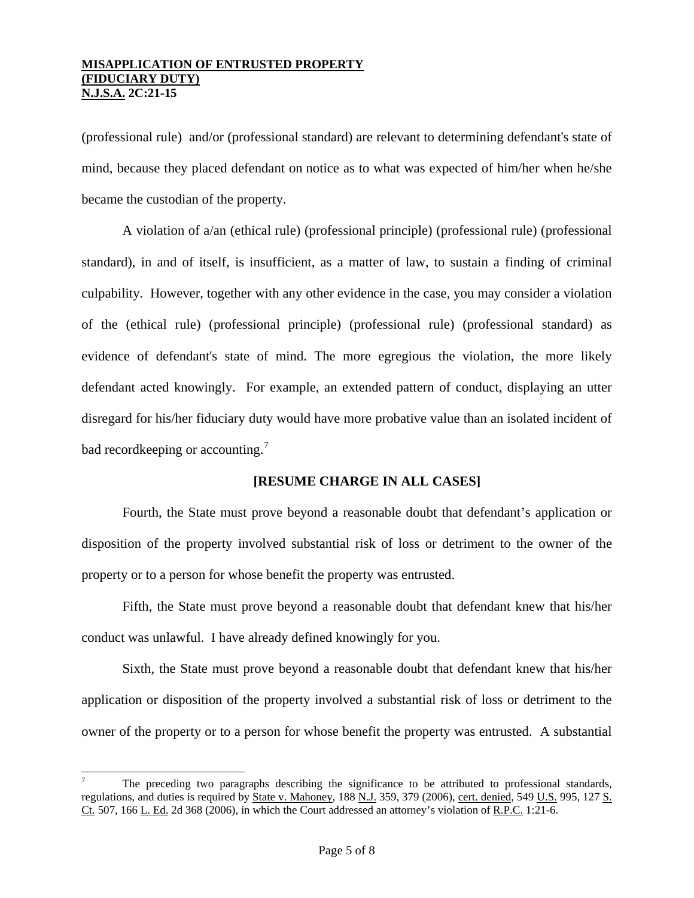(professional rule) and/or (professional standard) are relevant to determining defendant's state of mind, because they placed defendant on notice as to what was expected of him/her when he/she became the custodian of the property.

A violation of a/an (ethical rule) (professional principle) (professional rule) (professional standard), in and of itself, is insufficient, as a matter of law, to sustain a finding of criminal culpability. However, together with any other evidence in the case, you may consider a violation of the (ethical rule) (professional principle) (professional rule) (professional standard) as evidence of defendant's state of mind. The more egregious the violation, the more likely defendant acted knowingly. For example, an extended pattern of conduct, displaying an utter disregard for his/her fiduciary duty would have more probative value than an isolated incident of bad recordkeeping or accounting.<sup>[7](#page-3-0)</sup>

## **[RESUME CHARGE IN ALL CASES]**

Fourth, the State must prove beyond a reasonable doubt that defendant's application or disposition of the property involved substantial risk of loss or detriment to the owner of the property or to a person for whose benefit the property was entrusted.

Fifth, the State must prove beyond a reasonable doubt that defendant knew that his/her conduct was unlawful. I have already defined knowingly for you.

Sixth, the State must prove beyond a reasonable doubt that defendant knew that his/her application or disposition of the property involved a substantial risk of loss or detriment to the owner of the property or to a person for whose benefit the property was entrusted. A substantial

<span id="page-4-0"></span><sup>7</sup> The preceding two paragraphs describing the significance to be attributed to professional standards, regulations, and duties is required by State v. Mahoney, 188 N.J. 359, 379 (2006), cert. denied, 549 U.S. 995, 127 S. Ct. 507, 166 L. Ed. 2d 368 (2006), in which the Court addressed an attorney's violation of R.P.C. 1:21-6.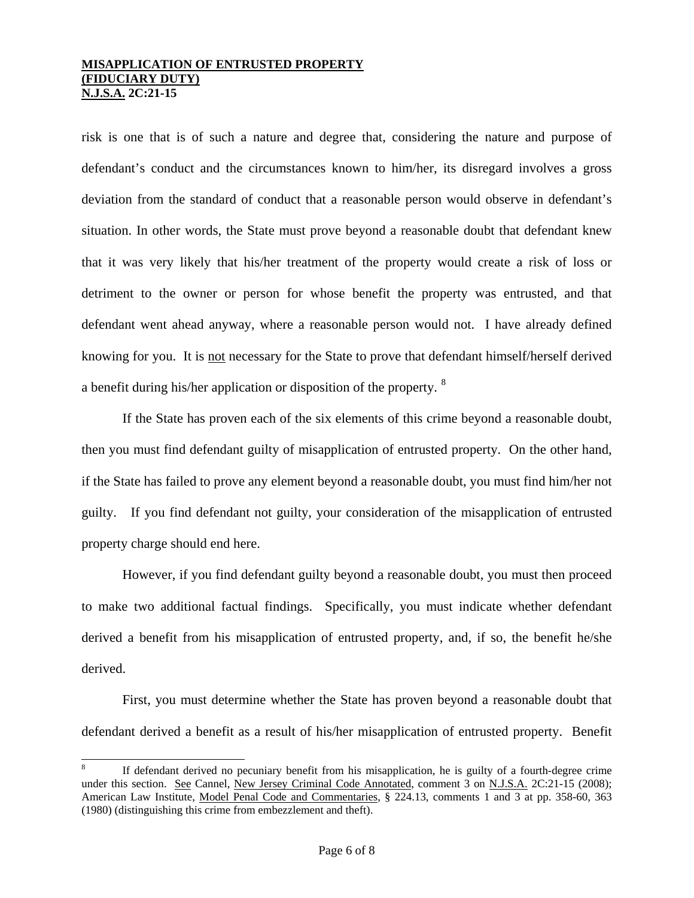risk is one that is of such a nature and degree that, considering the nature and purpose of defendant's conduct and the circumstances known to him/her, its disregard involves a gross deviation from the standard of conduct that a reasonable person would observe in defendant's situation. In other words, the State must prove beyond a reasonable doubt that defendant knew that it was very likely that his/her treatment of the property would create a risk of loss or detriment to the owner or person for whose benefit the property was entrusted, and that defendant went ahead anyway, where a reasonable person would not. I have already defined knowing for you. It is not necessary for the State to prove that defendant himself/herself derived a benefit during his/her application or disposition of the property. [8](#page-4-0)

If the State has proven each of the six elements of this crime beyond a reasonable doubt, then you must find defendant guilty of misapplication of entrusted property. On the other hand, if the State has failed to prove any element beyond a reasonable doubt, you must find him/her not guilty. If you find defendant not guilty, your consideration of the misapplication of entrusted property charge should end here.

However, if you find defendant guilty beyond a reasonable doubt, you must then proceed to make two additional factual findings. Specifically, you must indicate whether defendant derived a benefit from his misapplication of entrusted property, and, if so, the benefit he/she derived.

First, you must determine whether the State has proven beyond a reasonable doubt that defendant derived a benefit as a result of his/her misapplication of entrusted property. Benefit

<span id="page-5-0"></span><sup>8</sup> If defendant derived no pecuniary benefit from his misapplication, he is guilty of a fourth-degree crime under this section. See Cannel, New Jersey Criminal Code Annotated, comment 3 on N.J.S.A. 2C:21-15 (2008); American Law Institute, Model Penal Code and Commentaries, § 224.13, comments 1 and 3 at pp. 358-60, 363 (1980) (distinguishing this crime from embezzlement and theft).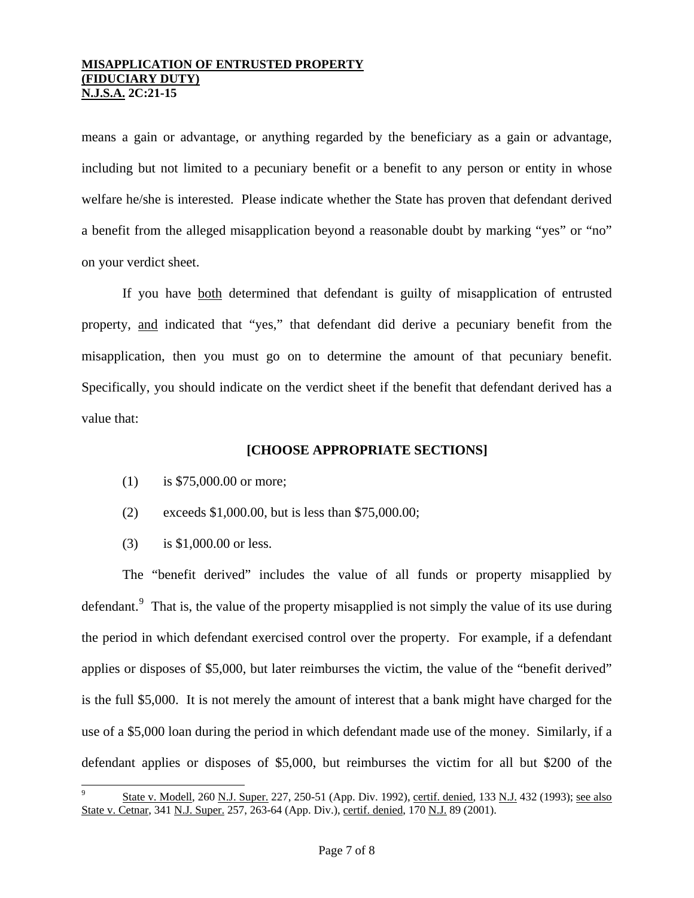means a gain or advantage, or anything regarded by the beneficiary as a gain or advantage, including but not limited to a pecuniary benefit or a benefit to any person or entity in whose welfare he/she is interested. Please indicate whether the State has proven that defendant derived a benefit from the alleged misapplication beyond a reasonable doubt by marking "yes" or "no" on your verdict sheet.

 If you have both determined that defendant is guilty of misapplication of entrusted property, and indicated that "yes," that defendant did derive a pecuniary benefit from the misapplication, then you must go on to determine the amount of that pecuniary benefit. Specifically, you should indicate on the verdict sheet if the benefit that defendant derived has a value that:

## **[CHOOSE APPROPRIATE SECTIONS]**

- (1) is \$75,000.00 or more;
- (2) exceeds \$1,000.00, but is less than \$75,000.00;
- (3) is \$1,000.00 or less.

i<br>L

 The "benefit derived" includes the value of all funds or property misapplied by defendant.<sup>[9](#page-5-0)</sup> That is, the value of the property misapplied is not simply the value of its use during the period in which defendant exercised control over the property. For example, if a defendant applies or disposes of \$5,000, but later reimburses the victim, the value of the "benefit derived" is the full \$5,000. It is not merely the amount of interest that a bank might have charged for the use of a \$5,000 loan during the period in which defendant made use of the money. Similarly, if a defendant applies or disposes of \$5,000, but reimburses the victim for all but \$200 of the

<span id="page-6-0"></span><sup>9</sup> State v. Modell, 260 N.J. Super. 227, 250-51 (App. Div. 1992), certif. denied, 133 N.J. 432 (1993); see also State v. Cetnar, 341 N.J. Super. 257, 263-64 (App. Div.), certif. denied, 170 N.J. 89 (2001).